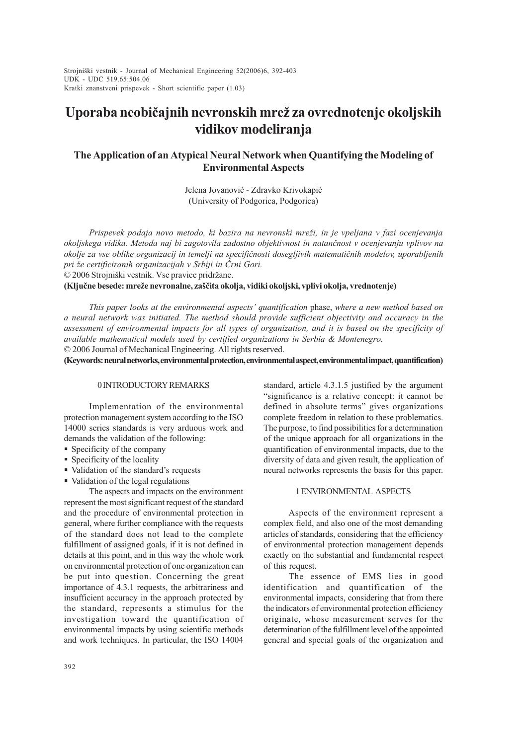$\frac{4.06}{\pi}$ Strojniški vestnik - Journal of Mechanical Engineering 52(2006)6, 392-403 UDK - UDC 519.65:504.06 Kratki znanstveni prispevek - Short scientific paper (1.03)

# Uporaba neobičajnih nevronskih mrež za ovrednotenje okoljskih vidikov modeliranja

# The Application of an Atypical Neural Network when Quantifying the Modeling of Environmental Aspects

Jelena Jovanović - Zdravko Krivokapić (University of Podgorica, Podgorica)

Prispevek podaja novo metodo, ki bazira na nevronski mreži, in je vpeljana v fazi ocenjevanja okoljskega vidika. Metoda naj bi zagotovila zadostno objektivnost in natanènost v ocenjevanju vplivov na okolje za vse oblike organizacij in temelji na specifiènosti dosegljivih matematiènih modelov, uporabljenih pri že certificiranih organizacijah v Srbiji in Črni Gori.

© 2006 Strojniški vestnik. Vse pravice pridržane.

(Ključne besede: mreže nevronalne, zaščita okolja, vidiki okoljski, vplivi okolja, vrednotenje)

This paper looks at the environmental aspects' quantification phase, where a new method based on a neural network was initiated. The method should provide sufficient objectivity and accuracy in the assessment of environmental impacts for all types of organization, and it is based on the specificity of available mathematical models used by certified organizations in Serbia & Montenegro. © 2006 Journal of Mechanical Engineering. All rights reserved.

(Keywords: neural networks, environmental protection, environmental aspect, environmental impact, quantification)

## 0 INTRODUCTORY REMARKS

Implementation of the environmental protection management system according to the ISO 14000 series standards is very arduous work and demands the validation of the following:

- § Specificity of the company
- § Specificity of the locality
- Validation of the standard's requests
- Validation of the legal regulations

The aspects and impacts on the environment represent the most significant request of the standard and the procedure of environmental protection in general, where further compliance with the requests of the standard does not lead to the complete fulfillment of assigned goals, if it is not defined in details at this point, and in this way the whole work on environmental protection of one organization can be put into question. Concerning the great importance of 4.3.1 requests, the arbitrariness and insufficient accuracy in the approach protected by the standard, represents a stimulus for the investigation toward the quantification of environmental impacts by using scientific methods and work techniques. In particular, the ISO 14004

standard, article 4.3.1.5 justified by the argument significance is a relative concept: it cannot be defined in absolute terms" gives organizations complete freedom in relation to these problematics. The purpose, to find possibilities for a determination of the unique approach for all organizations in the quantification of environmental impacts, due to the diversity of data and given result, the application of neural networks represents the basis for this paper.

#### 1 ENVIRONMENTAL ASPECTS

Aspects of the environment represent a complex field, and also one of the most demanding articles of standards, considering that the efficiency of environmental protection management depends exactly on the substantial and fundamental respect of this request.

The essence of EMS lies in good identification and quantification of the environmental impacts, considering that from there the indicators of environmental protection efficiency originate, whose measurement serves for the determination of the fulfillment level of the appointed general and special goals of the organization and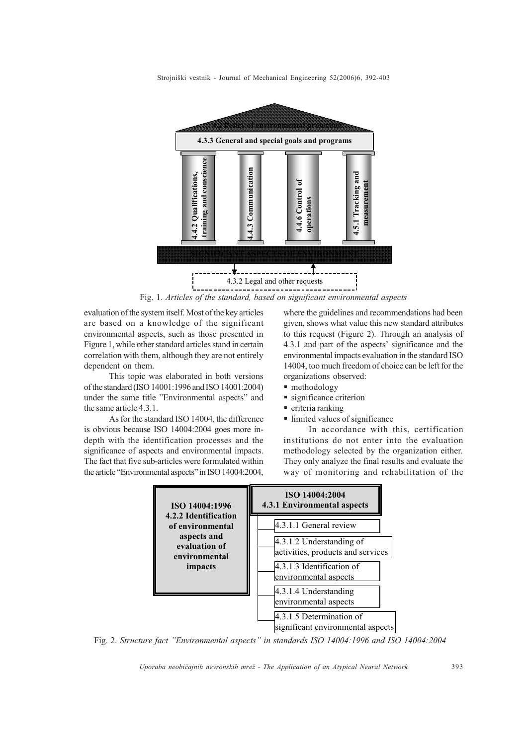

Fig. 1. Articles of the standard, based on significant environmental aspects

evaluation of the system itself. Most of the key articles are based on a knowledge of the significant environmental aspects, such as those presented in Figure 1, while other standard articles stand in certain correlation with them, although they are not entirely dependent on them.

This topic was elaborated in both versions of the standard (ISO 14001:1996 and ISO 14001:2004) under the same title "Environmental aspects" and the same article 4.3.1.

As for the standard ISO 14004, the difference is obvious because ISO 14004:2004 goes more indepth with the identification processes and the significance of aspects and environmental impacts. The fact that five sub-articles were formulated within the article "Environmental aspects" in ISO 14004:2004,

where the guidelines and recommendations had been given, shows what value this new standard attributes to this request (Figure 2). Through an analysis of 4.3.1 and part of the aspects' significance and the environmental impacts evaluation in the standard ISO 14004, too much freedom of choice can be left for the organizations observed:

- methodology
- significance criterion
- § criteria ranking
- limited values of significance

In accordance with this, certification institutions do not enter into the evaluation methodology selected by the organization either. They only analyze the final results and evaluate the way of monitoring and rehabilitation of the



Fig. 2. Structure fact "Environmental aspects" in standards ISO 14004:1996 and ISO 14004:2004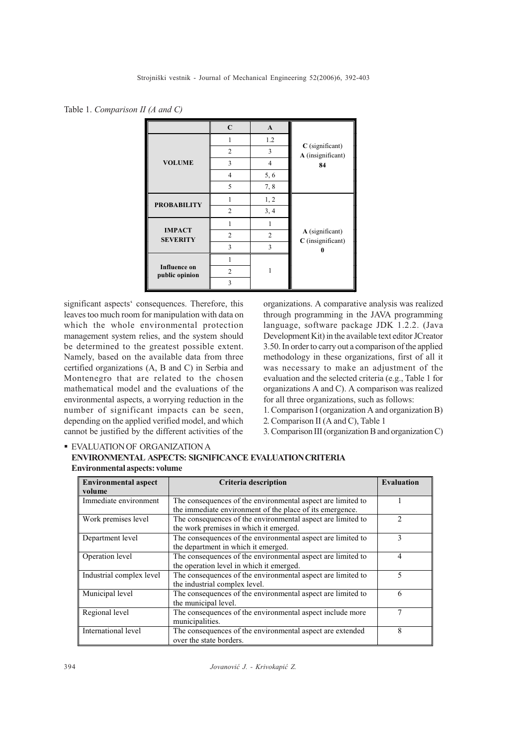Table 1. Comparison II (A and C)

|                                       | $\mathbf C$             | $\mathbf{A}$   |                                        |  |
|---------------------------------------|-------------------------|----------------|----------------------------------------|--|
|                                       | 1                       | 1.2            |                                        |  |
|                                       | $\overline{2}$          | 3              | $C$ (significant)<br>A (insignificant) |  |
| <b>VOLUME</b>                         | $\overline{\mathbf{3}}$ | $\overline{4}$ | 84                                     |  |
|                                       | $\overline{4}$          | 5, 6           |                                        |  |
|                                       | 5                       | 7,8            |                                        |  |
| <b>PROBABILITY</b>                    | 1                       | 1, 2           |                                        |  |
|                                       | $\overline{2}$          | 3, 4           |                                        |  |
|                                       | 1                       |                |                                        |  |
| <b>IMPACT</b><br><b>SEVERITY</b>      | $\overline{2}$          | $\overline{2}$ | A (significant)<br>C (insignificant)   |  |
|                                       | 3                       | 3              |                                        |  |
|                                       | 1                       |                |                                        |  |
| <b>Influence on</b><br>public opinion | $\overline{2}$          |                |                                        |  |
|                                       | 3                       |                |                                        |  |

significant aspects' consequences. Therefore, this leaves too much room for manipulation with data on which the whole environmental protection management system relies, and the system should be determined to the greatest possible extent. Namely, based on the available data from three certified organizations (A, B and C) in Serbia and Montenegro that are related to the chosen mathematical model and the evaluations of the environmental aspects, a worrying reduction in the number of significant impacts can be seen, depending on the applied verified model, and which cannot be justified by the different activities of the

organizations. A comparative analysis was realized through programming in the JAVA programming language, software package JDK 1.2.2. (Java Development Kit) in the available text editor JCreator 3.50. In order to carry out a comparison of the applied methodology in these organizations, first of all it was necessary to make an adjustment of the evaluation and the selected criteria (e.g., Table 1 for organizations A and C). A comparison was realized for all three organizations, such as follows:

1. Comparison I (organization A and organization B)

2. Comparison II (A and C), Table 1

3. Comparison III (organization B and organization C)

| <b>Environmental aspect</b><br>volume | Criteria description                                                                                                    | <b>Evaluation</b> |
|---------------------------------------|-------------------------------------------------------------------------------------------------------------------------|-------------------|
| Immediate environment                 | The consequences of the environmental aspect are limited to<br>the immediate environment of the place of its emergence. |                   |
| Work premises level                   | The consequences of the environmental aspect are limited to<br>the work premises in which it emerged.                   | $\mathfrak{D}$    |
| Department level                      | The consequences of the environmental aspect are limited to<br>the department in which it emerged.                      | 3                 |
| Operation level                       | The consequences of the environmental aspect are limited to<br>the operation level in which it emerged.                 | $\overline{4}$    |
| Industrial complex level              | The consequences of the environmental aspect are limited to<br>the industrial complex level.                            | 5                 |
| Municipal level                       | The consequences of the environmental aspect are limited to<br>the municipal level.                                     | 6                 |
| Regional level                        | The consequences of the environmental aspect include more<br>municipalities.                                            | 7                 |
| International level                   | The consequences of the environmental aspect are extended<br>over the state borders.                                    | 8                 |

**EVALUATION OF ORGANIZATION A** ENVIRONMENTAL ASPECTS: SIGNIFICANCE EVALUATION CRITERIA Environmental aspects: volume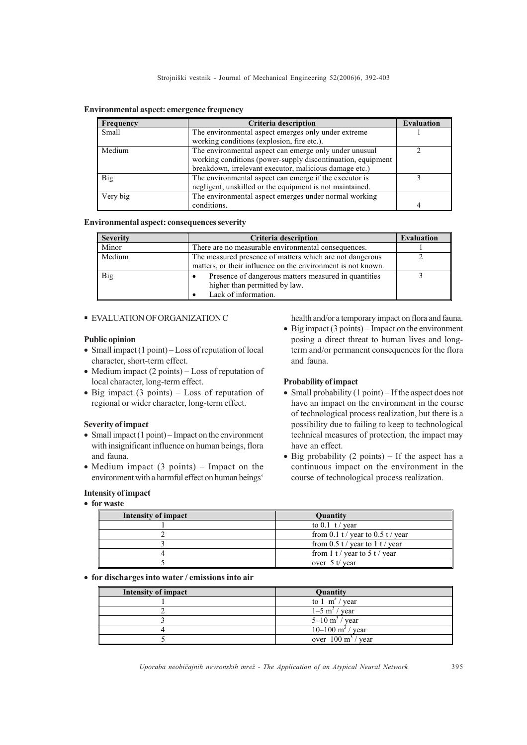| Frequency | Criteria description                                        | <b>Evaluation</b> |
|-----------|-------------------------------------------------------------|-------------------|
| Small     | The environmental aspect emerges only under extreme         |                   |
|           | working conditions (explosion, fire etc.).                  |                   |
| Medium    | The environmental aspect can emerge only under unusual      |                   |
|           | working conditions (power-supply discontinuation, equipment |                   |
|           | breakdown, irrelevant executor, malicious damage etc.)      |                   |
| Big       | The environmental aspect can emerge if the executor is      |                   |
|           | negligent, unskilled or the equipment is not maintained.    |                   |
| Very big  | The environmental aspect emerges under normal working       |                   |
|           | conditions.                                                 |                   |

#### Environmental aspect: emergence frequency

## Environmental aspect: consequences severity

| <b>Severity</b> | Criteria description                                                                                                     | <b>Evaluation</b> |
|-----------------|--------------------------------------------------------------------------------------------------------------------------|-------------------|
| Minor           | There are no measurable environmental consequences.                                                                      |                   |
| Medium          | The measured presence of matters which are not dangerous<br>matters, or their influence on the environment is not known. |                   |
| <b>Big</b>      | Presence of dangerous matters measured in quantities<br>higher than permitted by law.<br>Lack of information.            |                   |

## § EVALUATION OF ORGANIZATION C

#### Public opinion

- Small impact (1 point) Loss of reputation of local character, short-term effect.
- Medium impact  $(2 \text{ points})$  Loss of reputation of local character, long-term effect.
- $\bullet$  Big impact (3 points) Loss of reputation of regional or wider character, long-term effect.

#### Severity of impact

- Small impact  $(1 point)$  Impact on the environment with insignificant influence on human beings, flora and fauna.
- Medium impact  $(3 \text{ points})$  Impact on the environment with a harmful effect on human beings

# Intensity of impact

# · for waste

health and/or a temporary impact on flora and fauna.

• Big impact  $(3 \text{ points})$  – Impact on the environment posing a direct threat to human lives and longterm and/or permanent consequences for the flora and fauna.

## Probability of impact

- Small probability  $(1 point) If the aspect does not$ have an impact on the environment in the course of technological process realization, but there is a possibility due to failing to keep to technological technical measures of protection, the impact may have an effect.
- Big probability  $(2 \text{ points}) \text{If the aspect has a}$ continuous impact on the environment in the course of technological process realization.

| Intensity of impact | <b>Quantity</b>                   |
|---------------------|-----------------------------------|
|                     | to $0.1$ t/ year                  |
|                     | from 0.1 t / year to 0.5 t / year |
|                     | from 0.5 t / year to 1 t / year   |
|                     | from 1 t / year to 5 t / year     |
|                     | over $5 t /$ year                 |

# · for discharges into water / emissions into air

| Intensity of impact | <b>Quantity</b>                |
|---------------------|--------------------------------|
|                     | to $1 \text{ m}^3$<br>/ year   |
|                     | $1 - 5$ m <sup>3</sup><br>vear |
|                     | $5-10 \text{ m}^3$ /<br>vear   |
|                     | $10-100 \text{ m}^3$ / year    |
|                     | over $100 \text{ m}^3$ / year  |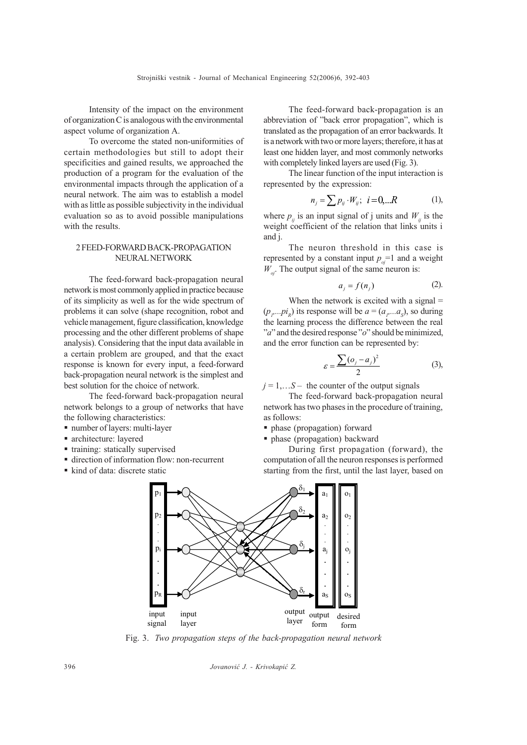Intensity of the impact on the environment of organization C is analogous with the environmental aspect volume of organization A.

To overcome the stated non-uniformities of certain methodologies but still to adopt their specificities and gained results, we approached the production of a program for the evaluation of the environmental impacts through the application of a neural network. The aim was to establish a model with as little as possible subjectivity in the individual evaluation so as to avoid possible manipulations with the results.

## 2 FEED-FORWARD BACK-PROPAGATION NEURAL NETWORK

The feed-forward back-propagation neural network is most commonly applied in practice because of its simplicity as well as for the wide spectrum of problems it can solve (shape recognition, robot and vehicle management, figure classification, knowledge processing and the other different problems of shape analysis). Considering that the input data available in a certain problem are grouped, and that the exact response is known for every input, a feed-forward back-propagation neural network is the simplest and best solution for the choice of network.

The feed-forward back-propagation neural network belongs to a group of networks that have the following characteristics:

- number of layers: multi-layer
- § architecture: layered
- training: statically supervised
- direction of information flow: non-recurrent
- kind of data: discrete static

The feed-forward back-propagation is an abbreviation of "back error propagation", which is translated as the propagation of an error backwards. It is a network with two or more layers; therefore, it has at least one hidden layer, and most commonly networks with completely linked layers are used (Fig. 3).

The linear function of the input interaction is represented by the expression:

$$
n_j = \sum p_{ij} \cdot W_{ij}; \ \ i = 0, \dots R \tag{1},
$$

where  $p_{ij}$  is an input signal of j units and  $W_{ij}$  is the weight coefficient of the relation that links units i and j.

The neuron threshold in this case is represented by a constant input  $p_{oi}$ =1 and a weight  $W_{\alpha}$ . The output signal of the same neuron is:

$$
a_j = f(n_j) \tag{2}.
$$

When the network is excited with a signal  $=$  $(p_{p}...pi_{R})$  its response will be  $a = (a_{p}...a_{S})$ , so during the learning process the difference between the real " $a$ " and the desired response " $o$ " should be minimized, and the error function can be represented by:

$$
\varepsilon = \frac{\sum (o_j - a_j)^2}{2} \tag{3}
$$

 $j = 1,...S -$  the counter of the output signals

The feed-forward back-propagation neural network has two phases in the procedure of training, as follows:

§ phase (propagation) forward

§ phase (propagation) backward

During first propagation (forward), the computation of all the neuron responses is performed starting from the first, until the last layer, based on



Fig. 3. Two propagation steps of the back-propagation neural network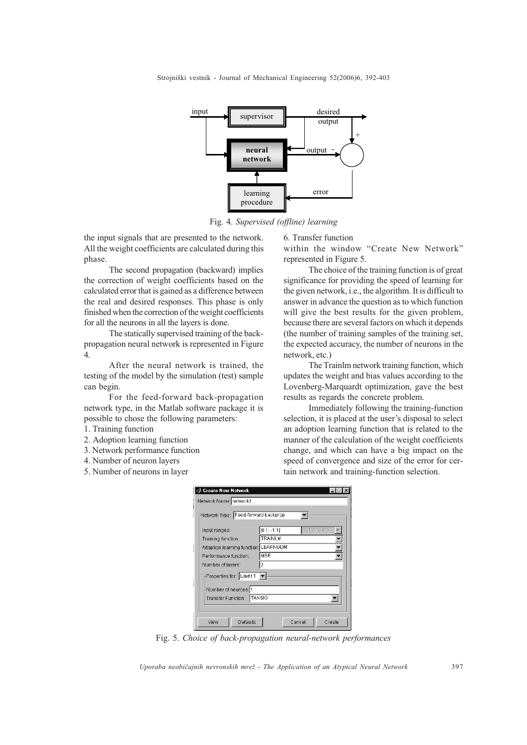

Fig. 4. Supervised (offline) learning

the input signals that are presented to the network. All the weight coefficients are calculated during this phase.

The second propagation (backward) implies the correction of weight coefficients based on the calculated error that is gained as a difference between the real and desired responses. This phase is only finished when the correction of the weight coefficients for all the neurons in all the layers is done.

The statically supervised training of the backpropagation neural network is represented in Figure 4.

After the neural network is trained, the testing of the model by the simulation (test) sample can begin.

For the feed-forward back-propagation network type, in the Matlab software package it is possible to chose the following parameters:

- 1. Training function
- 2. Adoption learning function
- 3. Network performance function
- 4. Number of neuron layers
- 5. Number of neurons in layer

6. Transfer function

within the window "Create New Network" represented in Figure 5.

The choice of the training function is of great significance for providing the speed of learning for the given network, i.e., the algorithm. It is difficult to answer in advance the question as to which function will give the best results for the given problem, because there are several factors on which it depends (the number of training samples of the training set, the expected accuracy, the number of neurons in the network, etc.)

The Trainlm network training function, which updates the weight and bias values according to the Lovenberg-Marquardt optimization, gave the best results as regards the concrete problem.

Immediately following the training-function selection, it is placed at the user's disposal to select an adoption learning function that is related to the manner of the calculation of the weight coefficients change, and which can have a big impact on the speed of convergence and size of the error for certain network and training-function selection.

| Network Type: Feed-forward backprop  |                               |
|--------------------------------------|-------------------------------|
| Input ranges:                        | $[0 1; -1 1]$<br>Get from inp |
| Training function:                   | <b>TRAINLM</b>                |
| Adaption learning function: LEARNGDM |                               |
| Performance function:                | MSE                           |
| Number of layers:                    | 2                             |
| Properties for: Layer 1              |                               |
| Number of neurons: 1                 |                               |
| <b>Transfer Function:</b>            | <b>TANSIG</b>                 |

Fig. 5. Choice of back-propagation neural-network performances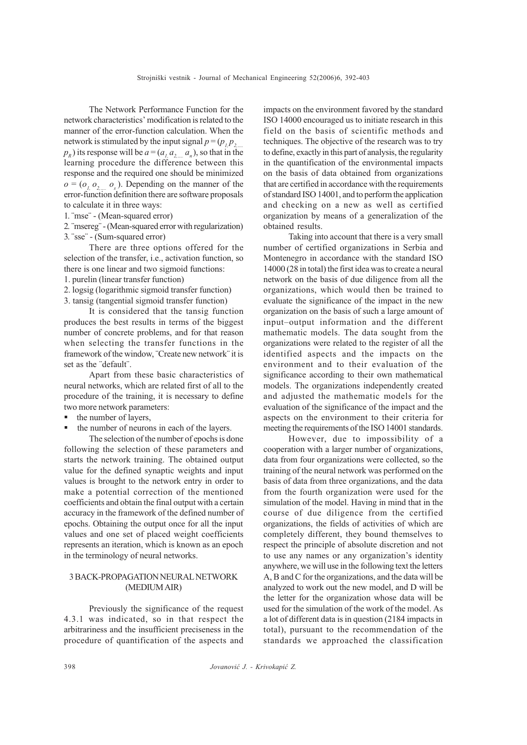The Network Performance Function for the network characteristics' modification is related to the manner of the error-function calculation. When the network is stimulated by the input signal  $p = (p, p, \cdot)$ .  $p<sub>p</sub>$ ) its response will be  $a = (a, a, a, a_n)$ , so that in the learning procedure the difference between this response and the required one should be minimized  $o = (o_{l_1} o_{l_2} o_{l_3})$ . Depending on the manner of the error-function definition there are software proposals to calculate it in three ways:

1. ¨mse¨ - (Mean-squared error)

2. ¨msereg¨ - (Mean-squared error with regularization) 3. ¨sse¨ - (Sum-squared error)

There are three options offered for the selection of the transfer, i.e., activation function, so there is one linear and two sigmoid functions:

- 1. purelin (linear transfer function)
- 2. logsig (logarithmic sigmoid transfer function)

3. tansig (tangential sigmoid transfer function)

It is considered that the tansig function produces the best results in terms of the biggest number of concrete problems, and for that reason when selecting the transfer functions in the framework of the window, ¨Create new network¨ it is set as the ¨default¨.

Apart from these basic characteristics of neural networks, which are related first of all to the procedure of the training, it is necessary to define two more network parameters:

- the number of layers,
- the number of neurons in each of the layers.

The selection of the number of epochs is done following the selection of these parameters and starts the network training. The obtained output value for the defined synaptic weights and input values is brought to the network entry in order to make a potential correction of the mentioned coefficients and obtain the final output with a certain accuracy in the framework of the defined number of epochs. Obtaining the output once for all the input values and one set of placed weight coefficients represents an iteration, which is known as an epoch in the terminology of neural networks.

# 3 BACK-PROPAGATION NEURAL NETWORK (MEDIUM AIR)

Previously the significance of the request 4.3.1 was indicated, so in that respect the arbitrariness and the insufficient preciseness in the procedure of quantification of the aspects and impacts on the environment favored by the standard ISO 14000 encouraged us to initiate research in this field on the basis of scientific methods and techniques. The objective of the research was to try to define, exactly in this part of analysis, the regularity in the quantification of the environmental impacts on the basis of data obtained from organizations that are certified in accordance with the requirements of standard ISO 14001, and to perform the application and checking on a new as well as certified organization by means of a generalization of the obtained results.

Taking into account that there is a very small number of certified organizations in Serbia and Montenegro in accordance with the standard ISO 14000 (28 in total) the first idea was to create a neural network on the basis of due diligence from all the organizations, which would then be trained to evaluate the significance of the impact in the new organization on the basis of such a large amount of input-output information and the different mathematic models. The data sought from the organizations were related to the register of all the identified aspects and the impacts on the environment and to their evaluation of the significance according to their own mathematical models. The organizations independently created and adjusted the mathematic models for the evaluation of the significance of the impact and the aspects on the environment to their criteria for meeting the requirements of the ISO 14001 standards.

However, due to impossibility of a cooperation with a larger number of organizations, data from four organizations were collected, so the training of the neural network was performed on the basis of data from three organizations, and the data from the fourth organization were used for the simulation of the model. Having in mind that in the course of due diligence from the certified organizations, the fields of activities of which are completely different, they bound themselves to respect the principle of absolute discretion and not to use any names or any organization's identity anywhere, we will use in the following text the letters A, B and C for the organizations, and the data will be analyzed to work out the new model, and D will be the letter for the organization whose data will be used for the simulation of the work of the model. As a lot of different data is in question (2184 impacts in total), pursuant to the recommendation of the standards we approached the classification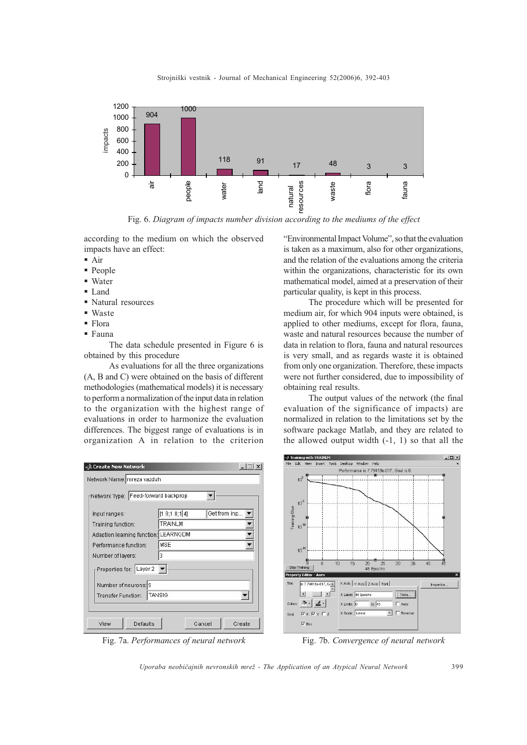

Fig. 6. Diagram of impacts number division according to the mediums of the effect

according to the medium on which the observed impacts have an effect:

- $\blacksquare$  Air
- People
- Water
- § Land
- § Natural resources
- § Waste
- Flora
- § Fauna

The data schedule presented in Figure 6 is obtained by this procedure

As evaluations for all the three organizations (A, B and C) were obtained on the basis of different methodologies (mathematical models) it is necessary to perform a normalization of the input data in relation to the organization with the highest range of evaluations in order to harmonize the evaluation differences. The biggest range of evaluations is in organization A in relation to the criterion

| Network Type: Feed-forward backprop        |                                 |  |
|--------------------------------------------|---------------------------------|--|
| Input ranges:                              | Get from inp<br>[1 8; 1 8; 1 4] |  |
| Training function:                         | TRAINLM                         |  |
| Adaption learning function: LEARNGDM       |                                 |  |
| Performance function:                      | MSE                             |  |
| Number of layers:                          | 3                               |  |
| Properties for: Layer 2                    |                                 |  |
| Number of neurons: 9<br>Transfer Function: | <b>TANSIG</b>                   |  |

"Environmental Impact Volume", so that the evaluation is taken as a maximum, also for other organizations, and the relation of the evaluations among the criteria within the organizations, characteristic for its own mathematical model, aimed at a preservation of their particular quality, is kept in this process.

The procedure which will be presented for medium air, for which 904 inputs were obtained, is applied to other mediums, except for flora, fauna, waste and natural resources because the number of data in relation to flora, fauna and natural resources is very small, and as regards waste it is obtained from only one organization. Therefore, these impacts were not further considered, due to impossibility of obtaining real results.

The output values of the network (the final evaluation of the significance of impacts) are normalized in relation to the limitations set by the software package Matlab, and they are related to the allowed output width  $(-1, 1)$  so that all the

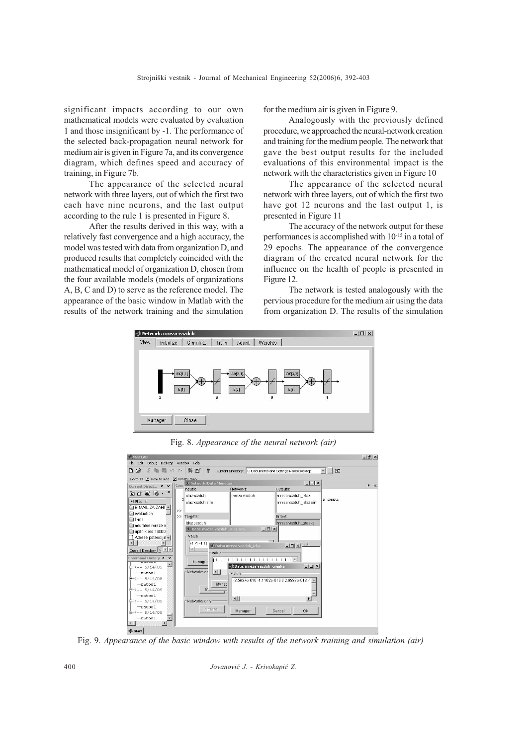significant impacts according to our own mathematical models were evaluated by evaluation 1 and those insignificant by -1. The performance of the selected back-propagation neural network for medium air is given in Figure 7a, and its convergence diagram, which defines speed and accuracy of training, in Figure 7b.

The appearance of the selected neural network with three layers, out of which the first two each have nine neurons, and the last output according to the rule 1 is presented in Figure 8.

After the results derived in this way, with a relatively fast convergence and a high accuracy, the model was tested with data from organization D, and produced results that completely coincided with the mathematical model of organization D, chosen from the four available models (models of organizations A, B, C and D) to serve as the reference model. The appearance of the basic window in Matlab with the results of the network training and the simulation

for the medium air is given in Figure 9.

Analogously with the previously defined procedure, we approached the neural-network creation and training for the medium people. The network that gave the best output results for the included evaluations of this environmental impact is the network with the characteristics given in Figure 10

The appearance of the selected neural network with three layers, out of which the first two have got 12 neurons and the last output 1, is presented in Figure 11

The accuracy of the network output for these performances is accomplished with 10-15 in a total of 29 epochs. The appearance of the convergence diagram of the created neural network for the influence on the health of people is presented in Figure 12.

The network is tested analogously with the pervious procedure for the medium air using the data from organization D. The results of the simulation



Fig. 8. Appearance of the neural network (air)



Fig. 9. Appearance of the basic window with results of the network training and simulation (air)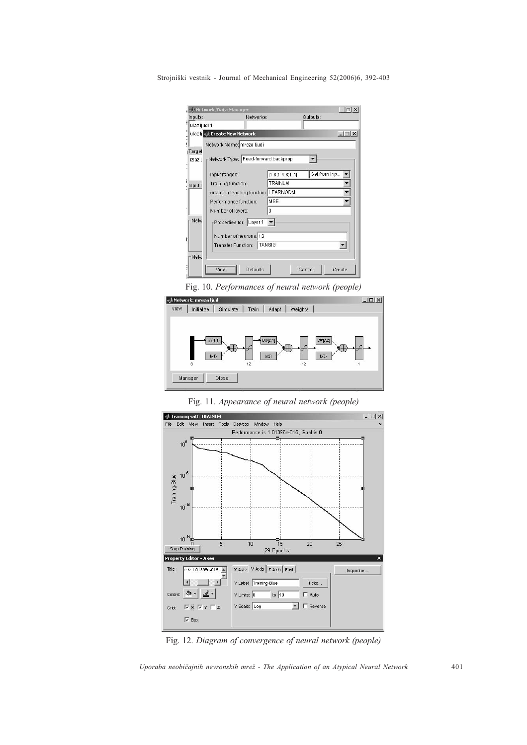| ulaz ljudi 1        |                                      |                 |              |                  |
|---------------------|--------------------------------------|-----------------|--------------|------------------|
|                     |                                      |                 |              |                  |
|                     | ulaz ij < Ereate New Network         |                 |              | $ \Box$ $\times$ |
|                     | Network Name: mreza ljudi            |                 |              |                  |
| <sub>I</sub> Target |                                      |                 |              |                  |
| izlaz I             | Network Type: Feed-forward backprop  |                 |              |                  |
|                     | Input ranges:                        | [1 8:1 4.8:1 4] | Get from inp |                  |
| Input D             | Training function:                   | TRAINLM         |              |                  |
|                     | Adaption learning function: LEARNGDM |                 |              |                  |
|                     | Performance function:                | MSE             |              |                  |
|                     | Number of layers:                    | 3               |              |                  |
| Netw                | Properties for: Layer 1              |                 |              |                  |
|                     |                                      |                 |              |                  |
|                     | Number of neurons: 12                |                 |              |                  |
|                     | Transfer Function:                   | TANSIG          |              |                  |
| <b>Netw</b>         |                                      |                 |              |                  |

Fig. 10. Performances of neural network (people)



Fig. 11. Appearance of neural network (people)



Fig. 12. Diagram of convergence of neural network (people)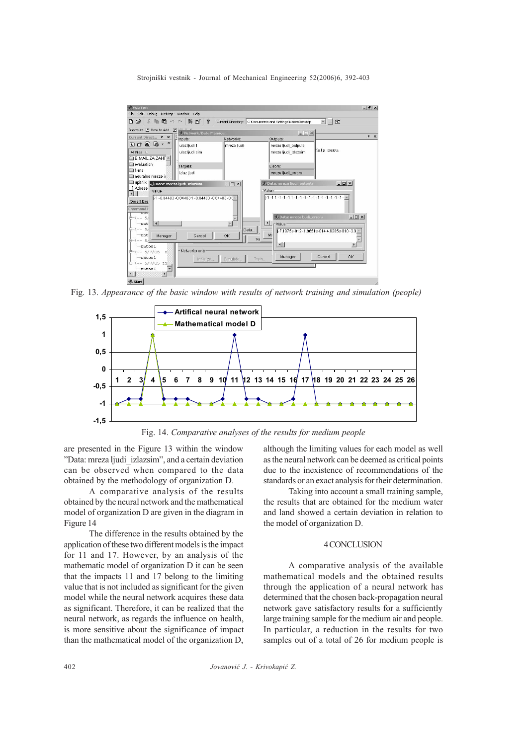

Fig. 13. Appearance of the basic window with results of network training and simulation (people)



Fig. 14. Comparative analyses of the results for medium people

are presented in the Figure 13 within the window "Data: mreza ljudi izlazsim", and a certain deviation can be observed when compared to the data obtained by the methodology of organization D.

A comparative analysis of the results obtained by the neural network and the mathematical model of organization D are given in the diagram in Figure 14

The difference in the results obtained by the application of these two different models is the impact for 11 and 17. However, by an analysis of the mathematic model of organization D it can be seen that the impacts 11 and 17 belong to the limiting value that is not included as significant for the given model while the neural network acquires these data as significant. Therefore, it can be realized that the neural network, as regards the influence on health, is more sensitive about the significance of impact than the mathematical model of the organization D,

although the limiting values for each model as well as the neural network can be deemed as critical points due to the inexistence of recommendations of the standards or an exact analysis for their determination.

Taking into account a small training sample, the results that are obtained for the medium water and land showed a certain deviation in relation to the model of organization D.

#### 4 CONCLUSION

A comparative analysis of the available mathematical models and the obtained results through the application of a neural network has determined that the chosen back-propagation neural network gave satisfactory results for a sufficiently large training sample for the medium air and people. In particular, a reduction in the results for two samples out of a total of 26 for medium people is